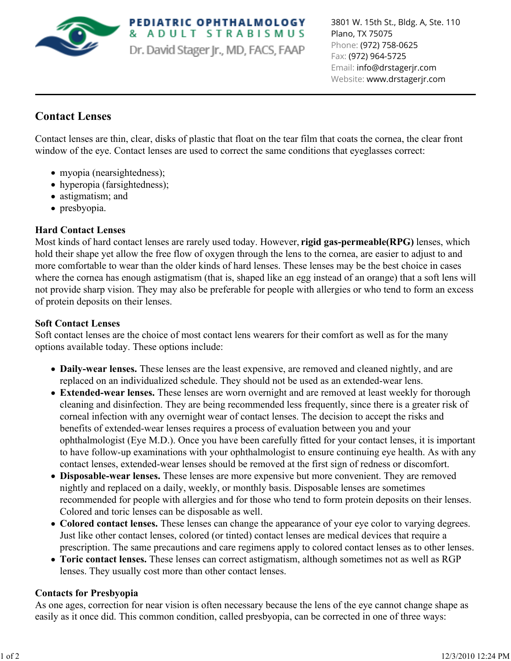

**PEDIATRIC OPHTHALMOLOGY** & ADULT STRABISMUS Dr. David Stager Jr., MD, FACS, FAAP 3801 W. 15th St., Bldg. A, Ste. 110 Plano, TX 75075 Phone: (972) 758-0625 Fax: (972) 964-5725 Email: info@drstagerjr.com Website: www.drstagerjr.com

# **Contact Lenses**

Contact lenses are thin, clear, disks of plastic that float on the tear film that coats the cornea, the clear front window of the eye. Contact lenses are used to correct the same conditions that eyeglasses correct:

- myopia (nearsightedness);
- hyperopia (farsightedness);
- astigmatism; and
- presbyopia.

## **Hard Contact Lenses**

Most kinds of hard contact lenses are rarely used today. However, **rigid gas-permeable(RPG)** lenses, which hold their shape yet allow the free flow of oxygen through the lens to the cornea, are easier to adjust to and more comfortable to wear than the older kinds of hard lenses. These lenses may be the best choice in cases where the cornea has enough astigmatism (that is, shaped like an egg instead of an orange) that a soft lens will not provide sharp vision. They may also be preferable for people with allergies or who tend to form an excess of protein deposits on their lenses.

## **Soft Contact Lenses**

Soft contact lenses are the choice of most contact lens wearers for their comfort as well as for the many options available today. These options include:

- **Daily-wear lenses.** These lenses are the least expensive, are removed and cleaned nightly, and are replaced on an individualized schedule. They should not be used as an extended-wear lens.
- **Extended-wear lenses.** These lenses are worn overnight and are removed at least weekly for thorough cleaning and disinfection. They are being recommended less frequently, since there is a greater risk of corneal infection with any overnight wear of contact lenses. The decision to accept the risks and benefits of extended-wear lenses requires a process of evaluation between you and your ophthalmologist (Eye M.D.). Once you have been carefully fitted for your contact lenses, it is important to have follow-up examinations with your ophthalmologist to ensure continuing eye health. As with any contact lenses, extended-wear lenses should be removed at the first sign of redness or discomfort.
- **Disposable-wear lenses.** These lenses are more expensive but more convenient. They are removed nightly and replaced on a daily, weekly, or monthly basis. Disposable lenses are sometimes recommended for people with allergies and for those who tend to form protein deposits on their lenses. Colored and toric lenses can be disposable as well.
- **Colored contact lenses.** These lenses can change the appearance of your eye color to varying degrees. Just like other contact lenses, colored (or tinted) contact lenses are medical devices that require a prescription. The same precautions and care regimens apply to colored contact lenses as to other lenses.
- **Toric contact lenses.** These lenses can correct astigmatism, although sometimes not as well as RGP lenses. They usually cost more than other contact lenses.

## **Contacts for Presbyopia**

As one ages, correction for near vision is often necessary because the lens of the eye cannot change shape as easily as it once did. This common condition, called presbyopia, can be corrected in one of three ways: